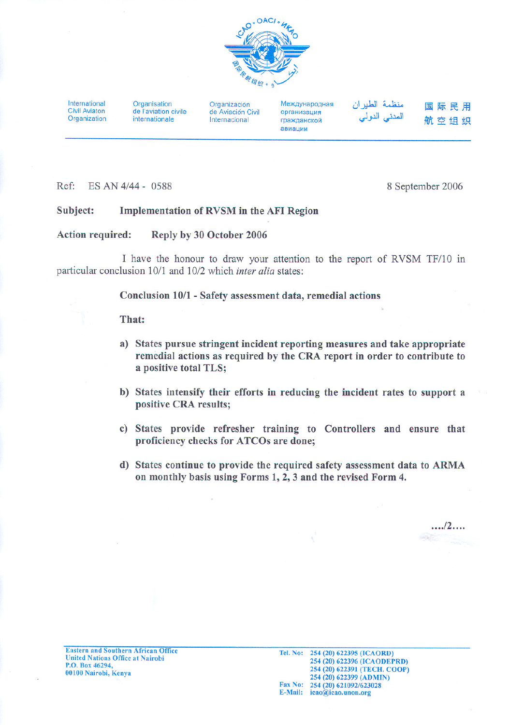

International Civil Aviaton **Organization**  **Organisation** de I'aviation civile internationale

Organización de Aviacion Civil Internacional

Международная opraнизация гражданской авиации

منظمة الطير ان المدني الدولمي

 $\blacksquare$  际民用 航空组织

## Ref: ES AN 4/44 - 0588 8 September 2006

## Subject: Implementation of RVSM in the AFI Region

## Action required: Reply by 30 October 2006

I have the honour to draw your attention to the report of RVSM TF/lO in particular conclusion 10/1 and 10/2which *inter alia* states:

Conclusion 10/1 -Safety assessment data, remedial actions

That:

- a) States pursue stringent incident reporting measures and take appropriate remedial actions as required by the CRA report in order to contribute to a positive total TLS;
- b) States intensify their efforts in reducing the incident rates to support a positive CRA results;
- c) States provide refresher training to Controllers and ensure that proficiency checks for ATCOs are done;
- d) States continue to provide the required safety assessment data to ARMA on monthly basis using Forms 1,2,3 and the revised Form 4.

..../2....